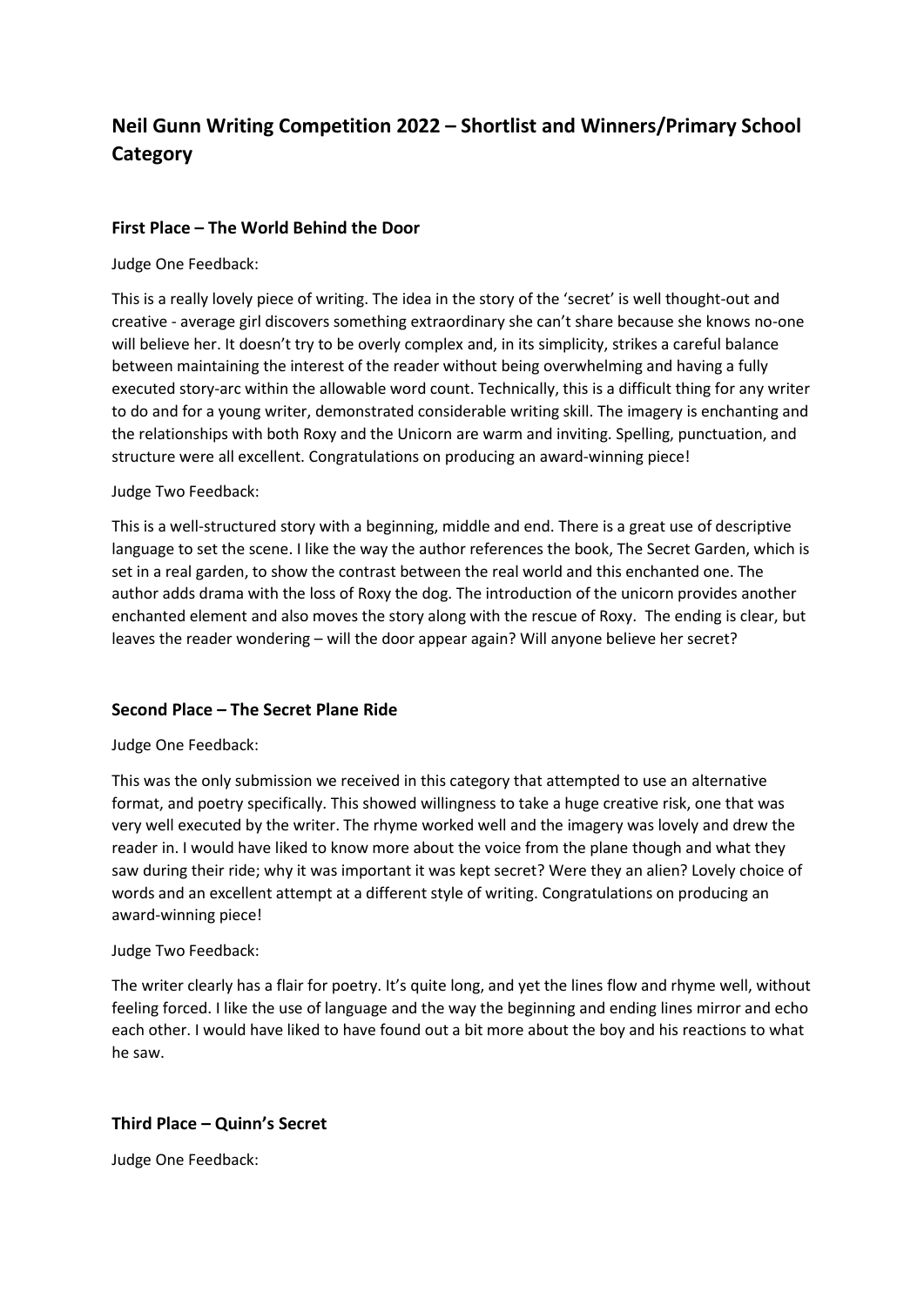# **Neil Gunn Writing Competition 2022 – Shortlist and Winners/Primary School Category**

# **First Place – The World Behind the Door**

## Judge One Feedback:

This is a really lovely piece of writing. The idea in the story of the 'secret' is well thought-out and creative - average girl discovers something extraordinary she can't share because she knows no-one will believe her. It doesn't try to be overly complex and, in its simplicity, strikes a careful balance between maintaining the interest of the reader without being overwhelming and having a fully executed story-arc within the allowable word count. Technically, this is a difficult thing for any writer to do and for a young writer, demonstrated considerable writing skill. The imagery is enchanting and the relationships with both Roxy and the Unicorn are warm and inviting. Spelling, punctuation, and structure were all excellent. Congratulations on producing an award-winning piece!

## Judge Two Feedback:

This is a well-structured story with a beginning, middle and end. There is a great use of descriptive language to set the scene. I like the way the author references the book, The Secret Garden, which is set in a real garden, to show the contrast between the real world and this enchanted one. The author adds drama with the loss of Roxy the dog. The introduction of the unicorn provides another enchanted element and also moves the story along with the rescue of Roxy. The ending is clear, but leaves the reader wondering – will the door appear again? Will anyone believe her secret?

# **Second Place – The Secret Plane Ride**

#### Judge One Feedback:

This was the only submission we received in this category that attempted to use an alternative format, and poetry specifically. This showed willingness to take a huge creative risk, one that was very well executed by the writer. The rhyme worked well and the imagery was lovely and drew the reader in. I would have liked to know more about the voice from the plane though and what they saw during their ride; why it was important it was kept secret? Were they an alien? Lovely choice of words and an excellent attempt at a different style of writing. Congratulations on producing an award-winning piece!

#### Judge Two Feedback:

The writer clearly has a flair for poetry. It's quite long, and yet the lines flow and rhyme well, without feeling forced. I like the use of language and the way the beginning and ending lines mirror and echo each other. I would have liked to have found out a bit more about the boy and his reactions to what he saw.

# **Third Place – Quinn's Secret**

Judge One Feedback: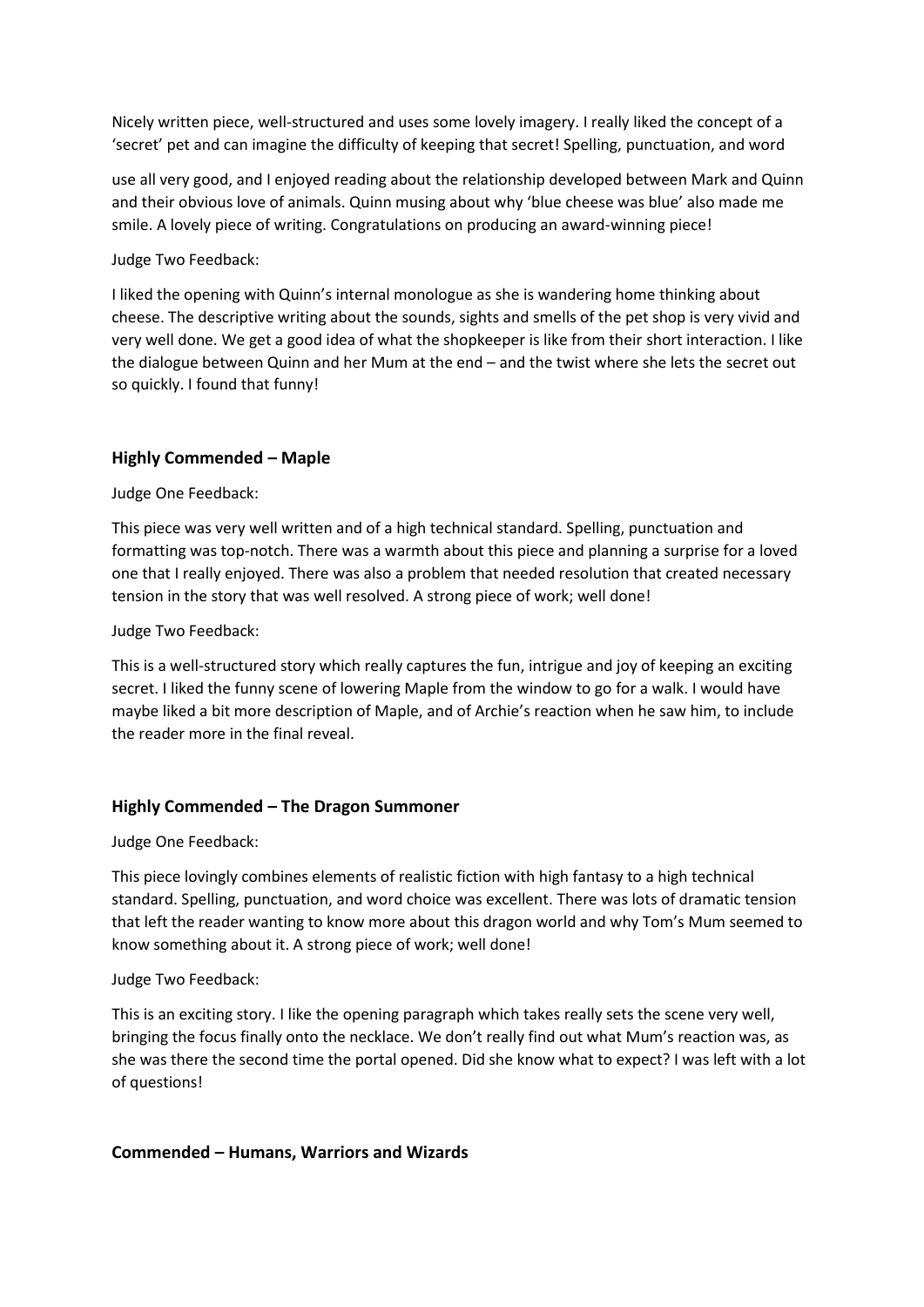Nicely written piece, well-structured and uses some lovely imagery. I really liked the concept of a 'secret' pet and can imagine the difficulty of keeping that secret! Spelling, punctuation, and word

use all very good, and I enjoyed reading about the relationship developed between Mark and Quinn and their obvious love of animals. Quinn musing about why 'blue cheese was blue' also made me smile. A lovely piece of writing. Congratulations on producing an award-winning piece!

#### Judge Two Feedback:

I liked the opening with Quinn's internal monologue as she is wandering home thinking about cheese. The descriptive writing about the sounds, sights and smells of the pet shop is very vivid and very well done. We get a good idea of what the shopkeeper is like from their short interaction. I like the dialogue between Quinn and her Mum at the end – and the twist where she lets the secret out so quickly. I found that funny!

#### **Highly Commended – Maple**

Judge One Feedback:

This piece was very well written and of a high technical standard. Spelling, punctuation and formatting was top-notch. There was a warmth about this piece and planning a surprise for a loved one that I really enjoyed. There was also a problem that needed resolution that created necessary tension in the story that was well resolved. A strong piece of work; well done!

Judge Two Feedback:

This is a well-structured story which really captures the fun, intrigue and joy of keeping an exciting secret. I liked the funny scene of lowering Maple from the window to go for a walk. I would have maybe liked a bit more description of Maple, and of Archie's reaction when he saw him, to include the reader more in the final reveal.

# **Highly Commended – The Dragon Summoner**

#### Judge One Feedback:

This piece lovingly combines elements of realistic fiction with high fantasy to a high technical standard. Spelling, punctuation, and word choice was excellent. There was lots of dramatic tension that left the reader wanting to know more about this dragon world and why Tom's Mum seemed to know something about it. A strong piece of work; well done!

Judge Two Feedback:

This is an exciting story. I like the opening paragraph which takes really sets the scene very well, bringing the focus finally onto the necklace. We don't really find out what Mum's reaction was, as she was there the second time the portal opened. Did she know what to expect? I was left with a lot of questions!

# **Commended – Humans, Warriors and Wizards**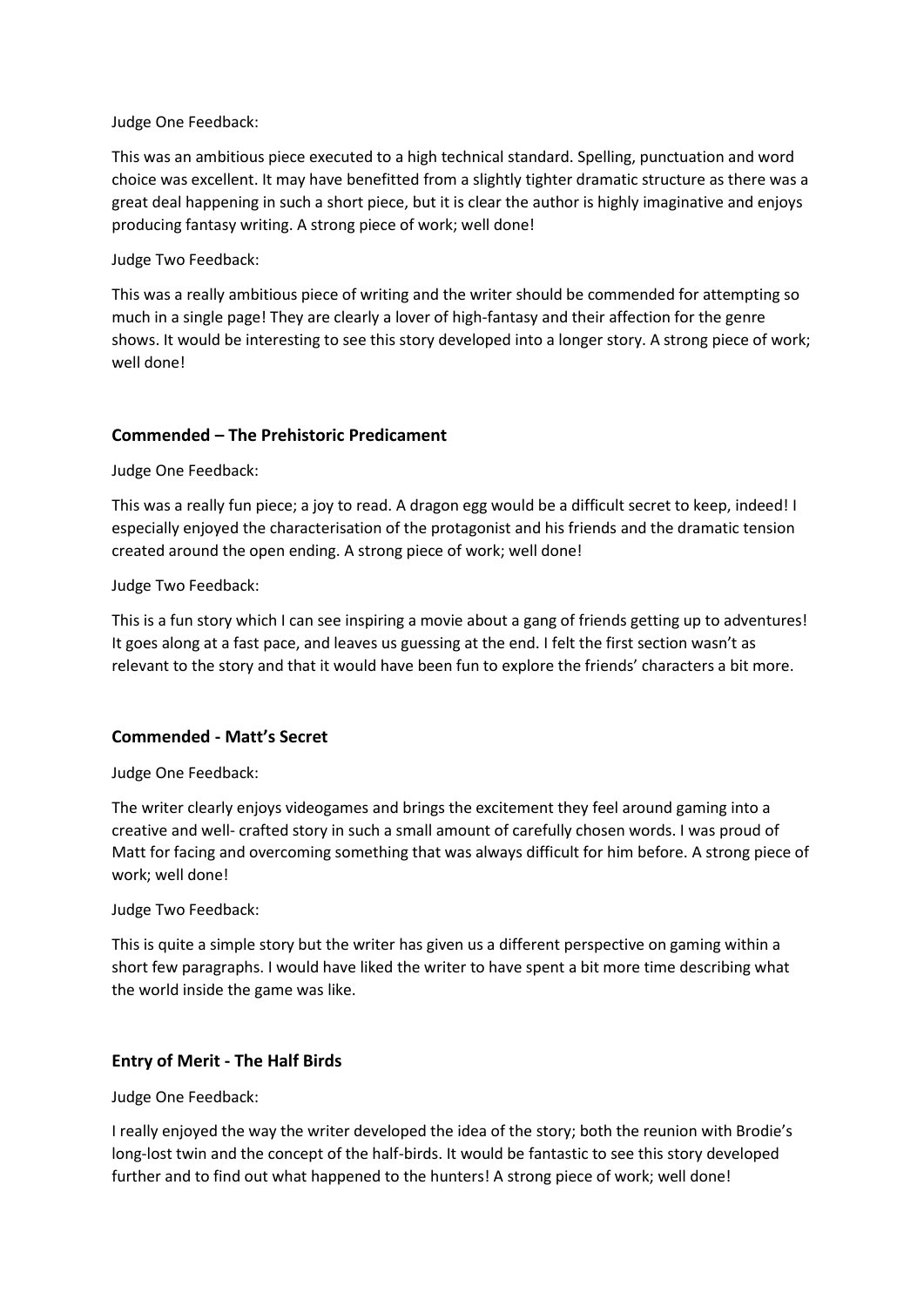#### Judge One Feedback:

This was an ambitious piece executed to a high technical standard. Spelling, punctuation and word choice was excellent. It may have benefitted from a slightly tighter dramatic structure as there was a great deal happening in such a short piece, but it is clear the author is highly imaginative and enjoys producing fantasy writing. A strong piece of work; well done!

## Judge Two Feedback:

This was a really ambitious piece of writing and the writer should be commended for attempting so much in a single page! They are clearly a lover of high-fantasy and their affection for the genre shows. It would be interesting to see this story developed into a longer story. A strong piece of work; well done!

# **Commended – The Prehistoric Predicament**

## Judge One Feedback:

This was a really fun piece; a joy to read. A dragon egg would be a difficult secret to keep, indeed! I especially enjoyed the characterisation of the protagonist and his friends and the dramatic tension created around the open ending. A strong piece of work; well done!

## Judge Two Feedback:

This is a fun story which I can see inspiring a movie about a gang of friends getting up to adventures! It goes along at a fast pace, and leaves us guessing at the end. I felt the first section wasn't as relevant to the story and that it would have been fun to explore the friends' characters a bit more.

# **Commended - Matt's Secret**

#### Judge One Feedback:

The writer clearly enjoys videogames and brings the excitement they feel around gaming into a creative and well- crafted story in such a small amount of carefully chosen words. I was proud of Matt for facing and overcoming something that was always difficult for him before. A strong piece of work; well done!

#### Judge Two Feedback:

This is quite a simple story but the writer has given us a different perspective on gaming within a short few paragraphs. I would have liked the writer to have spent a bit more time describing what the world inside the game was like.

# **Entry of Merit - The Half Birds**

#### Judge One Feedback:

I really enjoyed the way the writer developed the idea of the story; both the reunion with Brodie's long-lost twin and the concept of the half-birds. It would be fantastic to see this story developed further and to find out what happened to the hunters! A strong piece of work; well done!